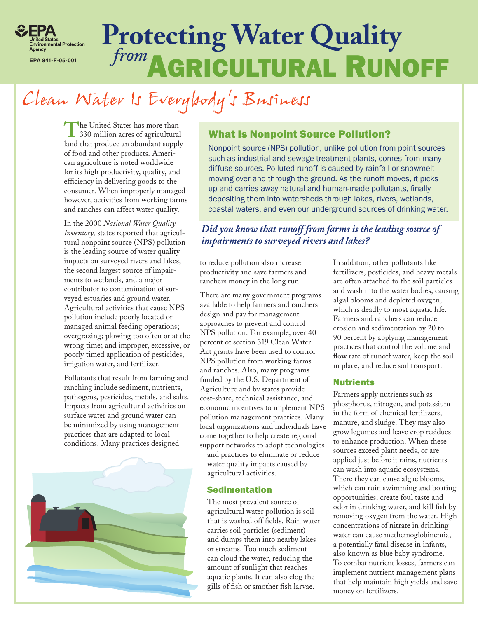

# **from AGRICULTURAL RUNOFF Protecting Water Quality**

## Clean Water Is Everybody's Business

The United States has more than 330 million acres of agricultural land that produce an abundant supply of food and other products. American agriculture is noted worldwide for its high productivity, quality, and efficiency in delivering goods to the consumer. When improperly managed however, activities from working farms and ranches can affect water quality.

In the 2000 *National Water Quality Inventory,* states reported that agricultural nonpoint source (NPS) pollution is the leading source of water quality impacts on surveyed rivers and lakes, the second largest source of impairments to wetlands, and a major contributor to contamination of surveyed estuaries and ground water. Agricultural activities that cause NPS pollution include poorly located or managed animal feeding operations; overgrazing; plowing too often or at the wrong time; and improper, excessive, or poorly timed application of pesticides, irrigation water, and fertilizer.

Pollutants that result from farming and ranching include sediment, nutrients, pathogens, pesticides, metals, and salts. Impacts from agricultural activities on surface water and ground water can be minimized by using management practices that are adapted to local conditions. Many practices designed



## What Is Nonpoint Source Pollution?

Nonpoint source (NPS) pollution, unlike pollution from point sources such as industrial and sewage treatment plants, comes from many diffuse sources. Polluted runoff is caused by rainfall or snowmelt moving over and through the ground. As the runoff moves, it picks up and carries away natural and human-made pollutants, finally depositing them into watersheds through lakes, rivers, wetlands, coastal waters, and even our underground sources of drinking water.

## *Did you know that runoff from farms is the leading source of impairments to surveyed rivers and lakes?*

to reduce pollution also increase productivity and save farmers and ranchers money in the long run.

There are many government programs available to help farmers and ranchers design and pay for management approaches to prevent and control NPS pollution. For example, over 40 percent of section 319 Clean Water Act grants have been used to control NPS pollution from working farms and ranches. Also, many programs funded by the U.S. Department of Agriculture and by states provide cost-share, technical assistance, and economic incentives to implement NPS pollution management practices. Many local organizations and individuals have come together to help create regional support networks to adopt technologies

and practices to eliminate or reduce water quality impacts caused by agricultural activities.

## Sedimentation

The most prevalent source of agricultural water pollution is soil that is washed off fields. Rain water carries soil particles (sediment) and dumps them into nearby lakes or streams. Too much sediment can cloud the water, reducing the amount of sunlight that reaches aquatic plants. It can also clog the gills of fish or smother fish larvae.

In addition, other pollutants like fertilizers, pesticides, and heavy metals are often attached to the soil particles and wash into the water bodies, causing algal blooms and depleted oxygen, which is deadly to most aquatic life. Farmers and ranchers can reduce erosion and sedimentation by 20 to 90 percent by applying management practices that control the volume and flow rate of runoff water, keep the soil in place, and reduce soil transport.

## **Nutrients**

Farmers apply nutrients such as phosphorus, nitrogen, and potassium in the form of chemical fertilizers, manure, and sludge. They may also grow legumes and leave crop residues to enhance production. When these sources exceed plant needs, or are applied just before it rains, nutrients can wash into aquatic ecosystems. There they can cause algae blooms, which can ruin swimming and boating opportunities, create foul taste and odor in drinking water, and kill fish by removing oxygen from the water. High concentrations of nitrate in drinking water can cause methemoglobinemia, a potentially fatal disease in infants, also known as blue baby syndrome. To combat nutrient losses, farmers can implement nutrient management plans that help maintain high yields and save money on fertilizers.